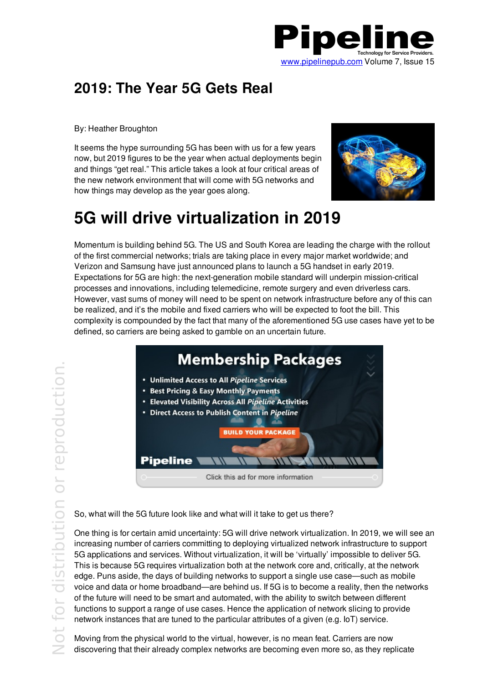

#### **2019: The Year 5G Gets Real**

#### By: Heather Broughton

It seems the hype surrounding 5G has been with us for a few years now, but 2019 figures to be the year when actual deployments begin and things "get real." This article takes a look at four critical areas of the new network environment that will come with 5G networks and how things may develop as the year goes along.



# **5G will drive virtualization in 2019**

Momentum is building behind 5G. The US and South Korea are leading the charge with the rollout of the first commercial networks; trials are taking place in every major market worldwide; and Verizon and Samsung have just announced plans to launch a 5G handset in early 2019. Expectations for 5G are high: the next-generation mobile standard will underpin mission-critical processes and innovations, including telemedicine, remote surgery and even driverless cars. However, vast sums of money will need to be spent on network infrastructure before any of this can be realized, and it's the mobile and fixed carriers who will be expected to foot the bill. This complexity is compounded by the fact that many of the aforementioned 5G use cases have yet to be defined, so carriers are being asked to gamble on an uncertain future.



So, what will the 5G future look like and what will it take to get us there?

One thing is for certain amid uncertainty: 5G will drive network virtualization. In 2019, we will see an increasing number of carriers committing to deploying virtualized network infrastructure to support 5G applications and services. Without virtualization, it will be 'virtually' impossible to deliver 5G. This is because 5G requires virtualization both at the network core and, critically, at the network edge. Puns aside, the days of building networks to support a single use case—such as mobile voice and data or home broadband—are behind us. If 5G is to become a reality, then the networks of the future will need to be smart and automated, with the ability to switch between different functions to support a range of use cases. Hence the application of network slicing to provide network instances that are tuned to the particular attributes of a given (e.g. IoT) service.

Moving from the physical world to the virtual, however, is no mean feat. Carriers are now discovering that their already complex networks are becoming even more so, as they replicate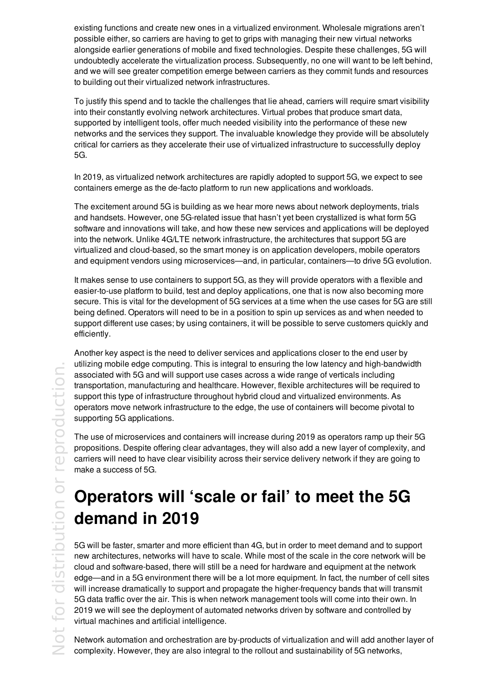existing functions and create new ones in a virtualized environment. Wholesale migrations aren't possible either, so carriers are having to get to grips with managing their new virtual networks alongside earlier generations of mobile and fixed technologies. Despite these challenges, 5G will undoubtedly accelerate the virtualization process. Subsequently, no one will want to be left behind, and we will see greater competition emerge between carriers as they commit funds and resources to building out their virtualized network infrastructures.

To justify this spend and to tackle the challenges that lie ahead, carriers will require smart visibility into their constantly evolving network architectures. Virtual probes that produce smart data, supported by intelligent tools, offer much needed visibility into the performance of these new networks and the services they support. The invaluable knowledge they provide will be absolutely critical for carriers as they accelerate their use of virtualized infrastructure to successfully deploy 5G.

In 2019, as virtualized network architectures are rapidly adopted to support 5G, we expect to see containers emerge as the de-facto platform to run new applications and workloads.

The excitement around 5G is building as we hear more news about network deployments, trials and handsets. However, one 5G-related issue that hasn't yet been crystallized is what form 5G software and innovations will take, and how these new services and applications will be deployed into the network. Unlike 4G/LTE network infrastructure, the architectures that support 5G are virtualized and cloud-based, so the smart money is on application developers, mobile operators and equipment vendors using microservices—and, in particular, containers—to drive 5G evolution.

It makes sense to use containers to support 5G, as they will provide operators with a flexible and easier-to-use platform to build, test and deploy applications, one that is now also becoming more secure. This is vital for the development of 5G services at a time when the use cases for 5G are still being defined. Operators will need to be in a position to spin up services as and when needed to support different use cases; by using containers, it will be possible to serve customers quickly and efficiently.

Another key aspect is the need to deliver services and applications closer to the end user by utilizing mobile edge computing. This is integral to ensuring the low latency and high-bandwidth associated with 5G and will support use cases across a wide range of verticals including transportation, manufacturing and healthcare. However, flexible architectures will be required to support this type of infrastructure throughout hybrid cloud and virtualized environments. As operators move network infrastructure to the edge, the use of containers will become pivotal to supporting 5G applications.

The use of microservices and containers will increase during 2019 as operators ramp up their 5G propositions. Despite offering clear advantages, they will also add a new layer of complexity, and carriers will need to have clear visibility across their service delivery network if they are going to make a success of 5G.

# **Operators will 'scale or fail' to meet the 5G demand in 2019**

5G will be faster, smarter and more efficient than 4G, but in order to meet demand and to support new architectures, networks will have to scale. While most of the scale in the core network will be cloud and software-based, there will still be a need for hardware and equipment at the network edge—and in a 5G environment there will be a lot more equipment. In fact, the number of cell sites will increase dramatically to support and propagate the higher-frequency bands that will transmit 5G data traffic over the air. This is when network management tools will come into their own. In 2019 we will see the deployment of automated networks driven by software and controlled by virtual machines and artificial intelligence.

Network automation and orchestration are by-products of virtualization and will add another layer of complexity. However, they are also integral to the rollout and sustainability of 5G networks,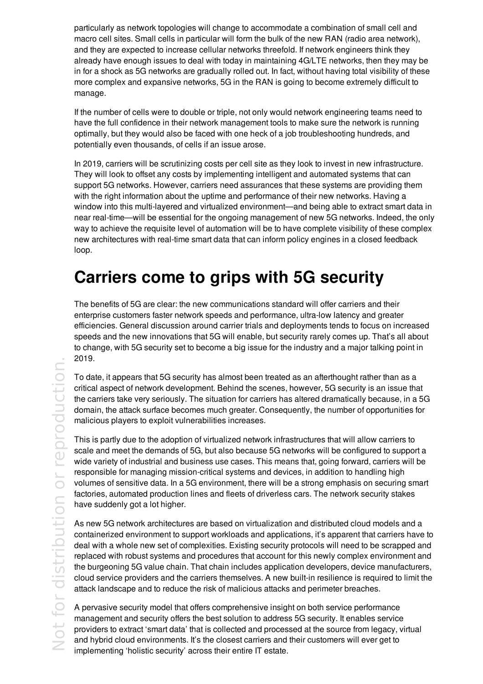particularly as network topologies will change to accommodate a combination of small cell and macro cell sites. Small cells in particular will form the bulk of the new RAN (radio area network), and they are expected to increase cellular networks threefold. If network engineers think they already have enough issues to deal with today in maintaining 4G/LTE networks, then they may be in for a shock as 5G networks are gradually rolled out. In fact, without having total visibility of these more complex and expansive networks, 5G in the RAN is going to become extremely difficult to manage.

If the number of cells were to double or triple, not only would network engineering teams need to have the full confidence in their network management tools to make sure the network is running optimally, but they would also be faced with one heck of a job troubleshooting hundreds, and potentially even thousands, of cells if an issue arose.

In 2019, carriers will be scrutinizing costs per cell site as they look to invest in new infrastructure. They will look to offset any costs by implementing intelligent and automated systems that can support 5G networks. However, carriers need assurances that these systems are providing them with the right information about the uptime and performance of their new networks. Having a window into this multi-layered and virtualized environment—and being able to extract smart data in near real-time—will be essential for the ongoing management of new 5G networks. Indeed, the only way to achieve the requisite level of automation will be to have complete visibility of these complex new architectures with real-time smart data that can inform policy engines in a closed feedback loop.

#### **Carriers come to grips with 5G security**

The benefits of 5G are clear: the new communications standard will offer carriers and their enterprise customers faster network speeds and performance, ultra-low latency and greater efficiencies. General discussion around carrier trials and deployments tends to focus on increased speeds and the new innovations that 5G will enable, but security rarely comes up. That's all about to change, with 5G security set to become a big issue for the industry and a major talking point in 2019.

To date, it appears that 5G security has almost been treated as an afterthought rather than as a critical aspect of network development. Behind the scenes, however, 5G security is an issue that the carriers take very seriously. The situation for carriers has altered dramatically because, in a 5G domain, the attack surface becomes much greater. Consequently, the number of opportunities for malicious players to exploit vulnerabilities increases.

This is partly due to the adoption of virtualized network infrastructures that will allow carriers to scale and meet the demands of 5G, but also because 5G networks will be configured to support a wide variety of industrial and business use cases. This means that, going forward, carriers will be responsible for managing mission-critical systems and devices, in addition to handling high volumes of sensitive data. In a 5G environment, there will be a strong emphasis on securing smart factories, automated production lines and fleets of driverless cars. The network security stakes have suddenly got a lot higher.

As new 5G network architectures are based on virtualization and distributed cloud models and a containerized environment to support workloads and applications, it's apparent that carriers have to deal with a whole new set of complexities. Existing security protocols will need to be scrapped and replaced with robust systems and procedures that account for this newly complex environment and the burgeoning 5G value chain. That chain includes application developers, device manufacturers, cloud service providers and the carriers themselves. A new built-in resilience is required to limit the attack landscape and to reduce the risk of malicious attacks and perimeter breaches.

A pervasive security model that offers comprehensive insight on both service performance management and security offers the best solution to address 5G security. It enables service providers to extract 'smart data' that is collected and processed at the source from legacy, virtual and hybrid cloud environments. It's the closest carriers and their customers will ever get to  $\sim$ implementing 'holistic security' across their entire IT estate.